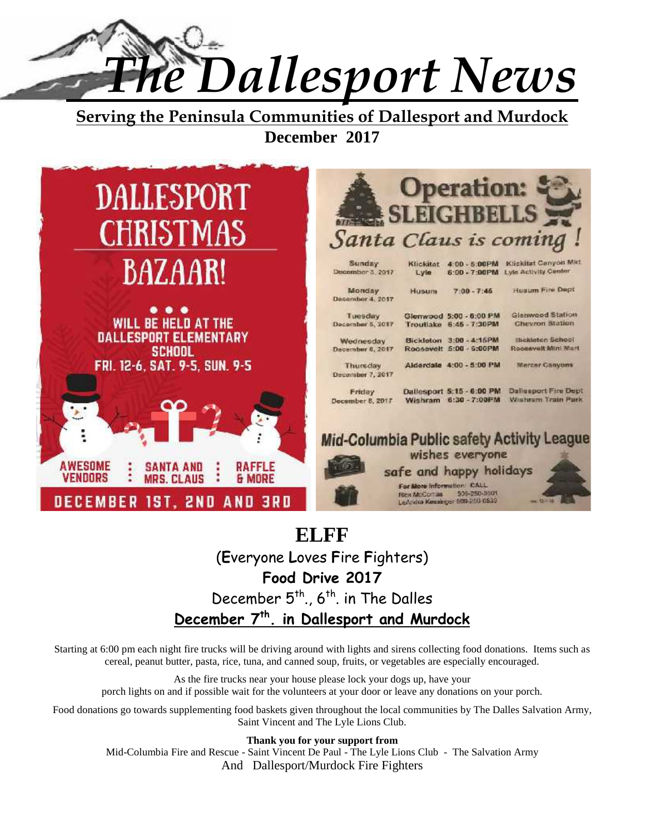*The Dallesport News*

**Serving the Peninsula Communities of Dallesport and Murdock December 2017**



# **ELFF** (**E**veryone **L**oves **F**ire **F**ighters) **Food Drive 2017** December  $5<sup>th</sup>$ ,  $6<sup>th</sup>$  in The Dalles **December 7th. in Dallesport and Murdock**

Starting at 6:00 pm each night fire trucks will be driving around with lights and sirens collecting food donations. Items such as cereal, peanut butter, pasta, rice, tuna, and canned soup, fruits, or vegetables are especially encouraged.

As the fire trucks near your house please lock your dogs up, have your porch lights on and if possible wait for the volunteers at your door or leave any donations on your porch.

Food donations go towards supplementing food baskets given throughout the local communities by The Dalles Salvation Army, Saint Vincent and The Lyle Lions Club.

**Thank you for your support from**

Mid-Columbia Fire and Rescue - Saint Vincent De Paul - The Lyle Lions Club - The Salvation Army And Dallesport/Murdock Fire Fighters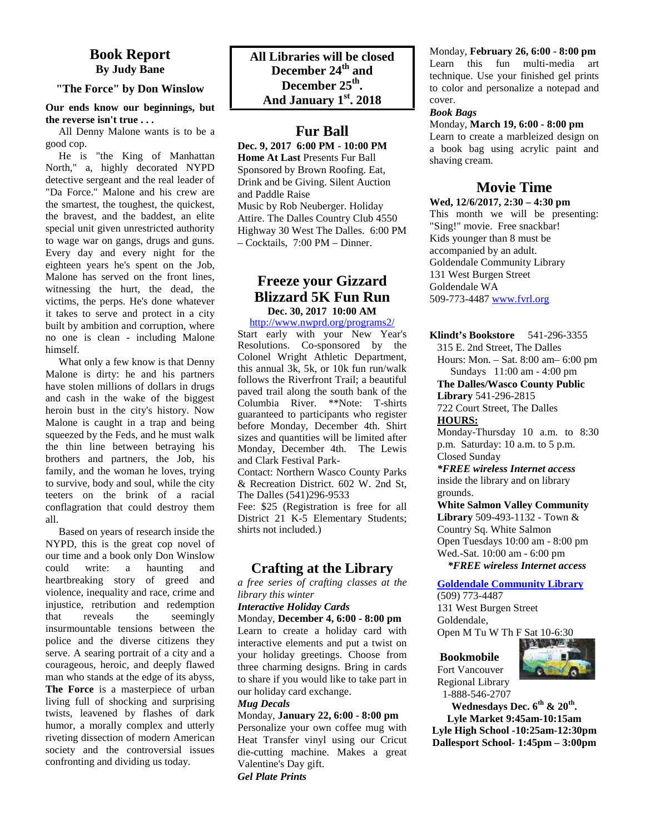#### **Book Report By Judy Bane**

#### **"The Force" by Don Winslow**

#### **Our ends know our beginnings, but the reverse isn't true . . .**

All Denny Malone wants is to be a good cop.

He is "the King of Manhattan North," a, highly decorated NYPD detective sergeant and the real leader of "Da Force." Malone and his crew are the smartest, the toughest, the quickest, the bravest, and the baddest, an elite special unit given unrestricted authority to wage war on gangs, drugs and guns. Every day and every night for the eighteen years he's spent on the Job, Malone has served on the front lines, witnessing the hurt, the dead, the victims, the perps. He's done whatever it takes to serve and protect in a city built by ambition and corruption, where no one is clean - including Malone himself.

What only a few know is that Denny Malone is dirty: he and his partners have stolen millions of dollars in drugs and cash in the wake of the biggest heroin bust in the city's history. Now Malone is caught in a trap and being squeezed by the Feds, and he must walk the thin line between betraying his brothers and partners, the Job, his family, and the woman he loves, trying to survive, body and soul, while the city teeters on the brink of a racial conflagration that could destroy them all.

Based on years of research inside the NYPD, this is the great cop novel of our time and a book only Don Winslow could write: a haunting and heartbreaking story of greed and violence, inequality and race, crime and injustice, retribution and redemption that reveals the seemingly insurmountable tensions between the police and the diverse citizens they serve. A searing portrait of a city and a courageous, heroic, and deeply flawed man who stands at the edge of its abyss, **The Force** is a masterpiece of urban living full of shocking and surprising twists, leavened by flashes of dark humor, a morally complex and utterly riveting dissection of modern American society and the controversial issues confronting and dividing us today.

#### **Fur Ball**

**Dec. 9, 2017 6:00 PM - 10:00 PM Home At Last** Presents Fur Ball Sponsored by Brown Roofing. Eat, Drink and be Giving. Silent Auction and Paddle Raise Music by Rob Neuberger. Holiday Attire. The Dalles Country Club 4550 Highway 30 West The Dalles. 6:00 PM – Cocktails, 7:00 PM – Dinner.

#### **Freeze your Gizzard Blizzard 5K Fun Run Dec. 30, 2017 10:00 AM**

http://www.nwprd.org/programs2/

Start early with your New Year's Resolutions. Co-sponsored by the Colonel Wright Athletic Department, this annual 3k, 5k, or 10k fun run/walk follows the Riverfront Trail; a beautiful paved trail along the south bank of the Columbia River. \*\*Note: T-shirts guaranteed to participants who register before Monday, December 4th. Shirt sizes and quantities will be limited after Monday, December 4th. The Lewis and Clark Festival Park- Contact: Northern Wasco County Parks

& Recreation District. 602 W. 2nd St, The Dalles (541)296-9533

Fee: \$25 (Registration is free for all District 21 K-5 Elementary Students; shirts not included.)

#### **Crafting at the Library**

*a free series of crafting classes at the library this winter*

#### *Interactive Holiday Cards*

Monday, **December 4, 6:00 - 8:00 pm** Learn to create a holiday card with interactive elements and put a twist on your holiday greetings. Choose from three charming designs. Bring in cards to share if you would like to take part in our holiday card exchange.

#### *Mug Decals*

#### Monday, **January 22, 6:00 - 8:00 pm**

Personalize your own coffee mug with Heat Transfer vinyl using our Cricut die-cutting machine. Makes a great Valentine's Day gift. *Gel Plate Prints*

Monday, **February 26, 6:00 - 8:00 pm** Learn this fun multi-media art technique. Use your finished gel prints to color and personalize a notepad and cover.

#### *Book Bags*

Monday, **March 19, 6:00 - 8:00 pm** Learn to create a marbleized design on a book bag using acrylic paint and shaving cream.

#### **Movie Time**

**Wed, 12/6/2017, 2:30 – 4:30 pm**

This month we will be presenting: "Sing!" movie. Free snackbar! Kids younger than 8 must be accompanied by an adult. Goldendale Community Library 131 West Burgen Street Goldendale WA 509-773-4487 www.fvrl.org

**Klindt's Bookstore** 541-296-3355

315 E. 2nd Street, The Dalles

Hours: Mon. – Sat. 8:00 am– 6:00 pm Sundays 11:00 am - 4:00 pm

**The Dalles/Wasco County Public**

**Library** 541-296-2815 722 Court Street, The Dalles

**HOURS:** Monday-Thursday 10 a.m. to 8:30 p.m. Saturday: 10 a.m. to 5 p.m.

Closed Sunday *\*FREE wireless Internet access*

inside the library and on library grounds.

**White Salmon Valley Community Library** 509-493-1132 - Town & Country Sq. White Salmon Open Tuesdays 10:00 am - 8:00 pm Wed.-Sat. 10:00 am - 6:00 pm  *\*FREE wireless Internet access*

**Goldendale Community Library**

(509) 773-4487 131 West Burgen Street Goldendale, Open M Tu W Th F Sat 10-6:30

#### **Bookmobile**



Fort Vancouver Regional Library

 1-888-546-2707 **Wednesdays Dec. 6th & 20th . Lyle Market 9:45am-10:15am Lyle High School -10:25am-12:30pm Dallesport School- 1:45pm – 3:00pm**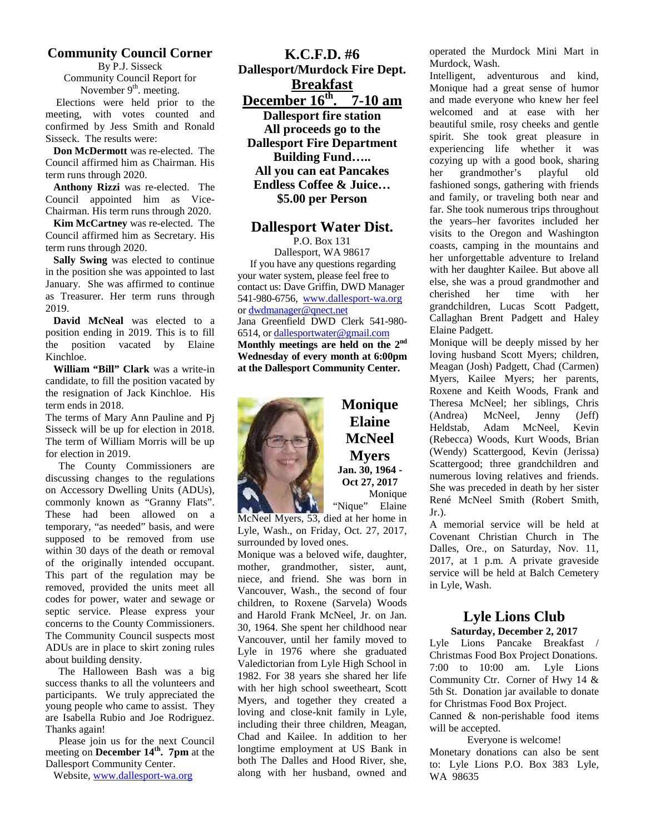#### **Community Council Corner**

By P.J. Sisseck Community Council Report for November  $9<sup>th</sup>$ . meeting.

Elections were held prior to the meeting, with votes counted and confirmed by Jess Smith and Ronald Sisseck. The results were:

**Don McDermott** was re-elected. The Council affirmed him as Chairman. His term runs through 2020.

**Anthony Rizzi** was re-elected. The Council appointed him as Vice- Chairman. His term runs through 2020.

**Kim McCartney** was re-elected. The Council affirmed him as Secretary. His term runs through 2020.

**Sally Swing** was elected to continue in the position she was appointed to last January. She was affirmed to continue as Treasurer. Her term runs through 2019.

**David McNeal** was elected to a position ending in 2019. This is to fill the position vacated by Elaine Kinchloe.

**William "Bill" Clark** was a write-in candidate, to fill the position vacated by the resignation of Jack Kinchloe. His term ends in 2018.

The terms of Mary Ann Pauline and Pj Sisseck will be up for election in 2018. The term of William Morris will be up for election in 2019.

The County Commissioners are discussing changes to the regulations on Accessory Dwelling Units (ADUs), commonly known as "Granny Flats". These had been allowed on a temporary, "as needed" basis, and were supposed to be removed from use within 30 days of the death or removal of the originally intended occupant. This part of the regulation may be removed, provided the units meet all codes for power, water and sewage or septic service. Please express your concerns to the County Commissioners. The Community Council suspects most ADUs are in place to skirt zoning rules about building density.

 The Halloween Bash was a big success thanks to all the volunteers and participants. We truly appreciated the young people who came to assist. They are Isabella Rubio and Joe Rodriguez. Thanks again!

 Please join us for the next Council meeting on **December 14th . 7pm** at the Dallesport Community Center.

Website, www.dallesport-wa.org

**K.C.F.D. #6 Dallesport/Murdock Fire Dept. Breakfast December 16th . 7-10 am Dallesport fire station All proceeds go to the Dallesport Fire Department Building Fund….. All you can eat Pancakes**

**Endless Coffee & Juice… \$5.00 per Person**

#### **Dallesport Water Dist.**

P.O. Box 131 Dallesport, WA 98617 If you have any questions regarding your water system, please feel free to contact us: Dave Griffin, DWD Manager 541-980-6756, www.dallesport-wa.org or dwdmanager@qnect.net Jana Greenfield DWD Clerk 541-980- 6514, or dallesportwater@gmail.com **Monthly meetings are held on the 2nd Wednesday of every month at 6:00pm at the Dallesport Community Center.**



**Monique** Theresa Elaine Heldstab. **McNeel Myers Jan. 30, 1964 - Oct 27, 2017** Monique "Nique" Elaine

McNeel Myers, 53, died at her home in Lyle, Wash., on Friday, Oct. 27, 2017, surrounded by loved ones.

Monique was a beloved wife, daughter, mother, grandmother, sister, aunt, niece, and friend. She was born in Vancouver, Wash., the second of four children, to Roxene (Sarvela) Woods and Harold Frank McNeel, Jr. on Jan. 30, 1964. She spent her childhood near Vancouver, until her family moved to Lyle in 1976 where she graduated Valedictorian from Lyle High School in 1982. For 38 years she shared her life with her high school sweetheart, Scott Myers, and together they created a loving and close-knit family in Lyle, including their three children, Meagan, Chad and Kailee. In addition to her longtime employment at US Bank in both The Dalles and Hood River, she, along with her husband, owned and

operated the Murdock Mini Mart in Murdock, Wash.

Intelligent, adventurous and kind, Monique had a great sense of humor and made everyone who knew her feel welcomed and at ease with her beautiful smile, rosy cheeks and gentle spirit. She took great pleasure in experiencing life whether it was cozying up with a good book, sharing her grandmother's playful old fashioned songs, gathering with friends and family, or traveling both near and far. She took numerous trips throughout the years–her favorites included her visits to the Oregon and Washington coasts, camping in the mountains and her unforgettable adventure to Ireland with her daughter Kailee. But above all else, she was a proud grandmother and cherished her time with her grandchildren, Lucas Scott Padgett, Callaghan Brent Padgett and Haley Elaine Padgett.

Monique will be deeply missed by her loving husband Scott Myers; children, Meagan (Josh) Padgett, Chad (Carmen) Myers, Kailee Myers; her parents, Roxene and Keith Woods, Frank and Theresa McNeel; her siblings, Chris McNeel, Jenny (Jeff) Adam McNeel, Kevin (Rebecca) Woods, Kurt Woods, Brian (Wendy) Scattergood, Kevin (Jerissa) Scattergood; three grandchildren and numerous loving relatives and friends. She was preceded in death by her sister René McNeel Smith (Robert Smith, Jr.).

A memorial service will be held at Covenant Christian Church in The Dalles, Ore., on Saturday, Nov. 11, 2017, at 1 p.m. A private graveside service will be held at Balch Cemetery in Lyle, Wash.

#### **Lyle Lions Club Saturday, December 2, 2017**

Lyle Lions Pancake Breakfast / Christmas Food Box Project Donations. 7:00 to 10:00 am. Lyle Lions Community Ctr. Corner of Hwy 14 & 5th St. Donation jar available to donate for Christmas Food Box Project.

Canned & non-perishable food items will be accepted.

Everyone is welcome! Monetary donations can also be sent to: Lyle Lions P.O. Box 383 Lyle, WA 98635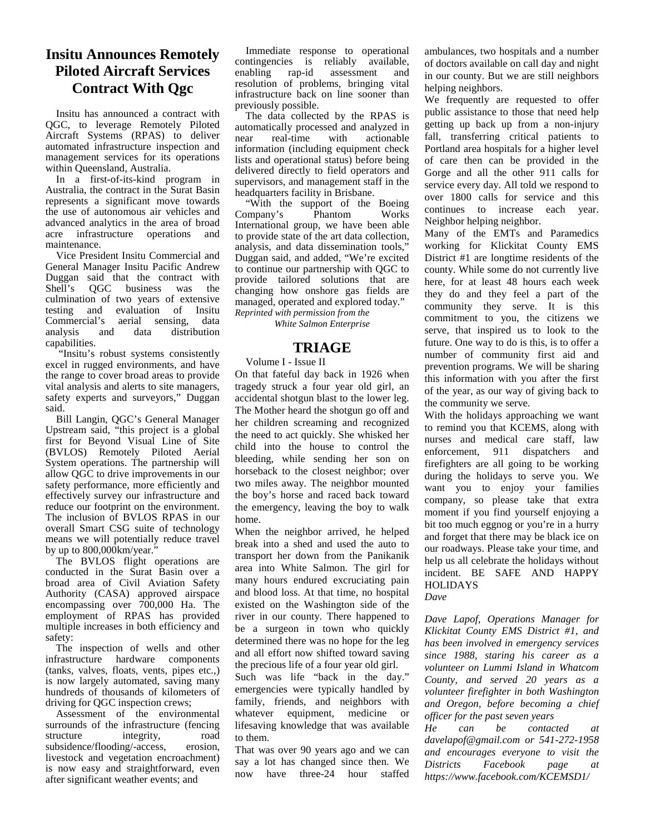# **Insitu Announces Remotely Piloted Aircraft Services Contract With Qgc**

Insitu has announced a contract with QGC, to leverage Remotely Piloted Aircraft Systems (RPAS) to deliver <sub>near</sub> automated infrastructure inspection and management services for its operations within Queensland, Australia.

In a first-of-its-kind program in Australia, the contract in the Surat Basin represents a significant move towards the use of autonomous air vehicles and advanced analytics in the area of broad acre infrastructure operations and maintenance.

Vice President Insitu Commercial and General Manager Insitu Pacific Andrew Duggan said that the contract with Shell's QGC business was the culmination of two years of extensive testing and evaluation of Insitu Commercial's aerial sensing, data analysis and data distribution capabilities.

 "Insitu's robust systems consistently excel in rugged environments, and have the range to cover broad areas to provide vital analysis and alerts to site managers, safety experts and surveyors," Duggan said.

Bill Langin, QGC's General Manager Upstream said, "this project is a global first for Beyond Visual Line of Site (BVLOS) Remotely Piloted Aerial System operations. The partnership will allow QGC to drive improvements in our safety performance, more efficiently and effectively survey our infrastructure and reduce our footprint on the environment. The inclusion of BVLOS RPAS in our overall Smart CSG suite of technology means we will potentially reduce travel by up to 800,000km/year."

The BVLOS flight operations are conducted in the Surat Basin over a broad area of Civil Aviation Safety Authority (CASA) approved airspace encompassing over 700,000 Ha. The employment of RPAS has provided multiple increases in both efficiency and safety:

The inspection of wells and other infrastructure hardware components (tanks, valves, floats, vents, pipes etc.,) is now largely automated, saving many hundreds of thousands of kilometers of driving for QGC inspection crews;

Assessment of the environmental surrounds of the infrastructure (fencing structure integrity, road<br>subsidence/flooding/-access. erosion. subsidence/flooding/-access, livestock and vegetation encroachment) is now easy and straightforward, even after significant weather events; and

Immediate response to operational contingencies is reliably available, rap-id assessment and resolution of problems, bringing vital infrastructure back on line sooner than previously possible.

The data collected by the RPAS is automatically processed and analyzed in actionable information (including equipment check lists and operational status) before being delivered directly to field operators and supervisors, and management staff in the headquarters facility in Brisbane.

"With the support of the Boeing<br>mpany's Phantom Works Company's Phantom Works International group, we have been able to provide state of the art data collection, analysis, and data dissemination tools," Duggan said, and added, "We're excited to continue our partnership with QGC to provide tailored solutions that are changing how onshore gas fields are managed, operated and explored today." *Reprinted with permission from the*

*White Salmon Enterprise*

#### **TRIAGE**

#### Volume I - Issue II

On that fateful day back in 1926 when tragedy struck a four year old girl, an accidental shotgun blast to the lower leg. The Mother heard the shotgun go off and her children screaming and recognized the need to act quickly. She whisked her child into the house to control the bleeding, while sending her son on horseback to the closest neighbor; over two miles away. The neighbor mounted the boy's horse and raced back toward the emergency, leaving the boy to walk home.

When the neighbor arrived, he helped break into a shed and used the auto to transport her down from the Panikanik area into White Salmon. The girl for many hours endured excruciating pain and blood loss. At that time, no hospital existed on the Washington side of the river in our county. There happened to be a surgeon in town who quickly determined there was no hope for the leg and all effort now shifted toward saving the precious life of a four year old girl.

Such was life "back in the day." emergencies were typically handled by family, friends, and neighbors with whatever equipment, medicine or lifesaving knowledge that was available  $\ddot{He}$ to them.

That was over 90 years ago and we can say a lot has changed since then. We Districts now have three-24 hour staffed

ambulances, two hospitals and a number of doctors available on call day and night in our county. But we are still neighbors helping neighbors.

We frequently are requested to offer public assistance to those that need help getting up back up from a non-injury fall, transferring critical patients to Portland area hospitals for a higher level of care then can be provided in the Gorge and all the other 911 calls for service every day. All told we respond to over 1800 calls for service and this continues to increase each year. Neighbor helping neighbor.

Many of the EMTs and Paramedics working for Klickitat County EMS District #1 are longtime residents of the county. While some do not currently live here, for at least 48 hours each week they do and they feel a part of the community they serve. It is this commitment to you, the citizens we serve, that inspired us to look to the future. One way to do is this, is to offer a number of community first aid and prevention programs. We will be sharing this information with you after the first of the year, as our way of giving back to the community we serve.

With the holidays approaching we want to remind you that KCEMS, along with nurses and medical care staff, law enforcement, 911 dispatchers and firefighters are all going to be working during the holidays to serve you. We want you to enjoy your families company, so please take that extra moment if you find yourself enjoying a bit too much eggnog or you're in a hurry and forget that there may be black ice on our roadways. Please take your time, and help us all celebrate the holidays without incident. BE SAFE AND HAPPY **HOLIDAYS** 

*Dave*

*Dave Lapof, Operations Manager for Klickitat County EMS District #1, and has been involved in emergency services since 1988, staring his career as a volunteer on Lummi Island in Whatcom County, and served 20 years as a volunteer firefighter in both Washington and Oregon, before becoming a chief officer for the past seven years*

 $can$  *be contacted at davelapof@gmail.com or 541-272-1958 and encourages everyone to visit the Districts Facebook page at https://www.facebook.com/KCEMSD1/*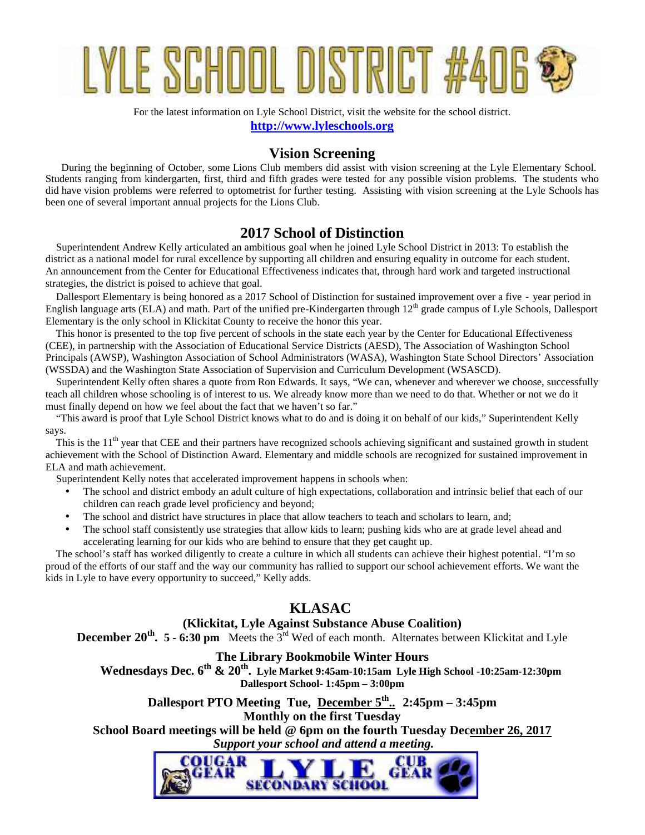# YLE SCHOOL DISTRIC

For the latest information on Lyle School District, visit the website for the school district. **http://www.lyleschools.org**

#### **Vision Screening**

During the beginning of October, some Lions Club members did assist with vision screening at the Lyle Elementary School. Students ranging from kindergarten, first, third and fifth grades were tested for any possible vision problems. The students who did have vision problems were referred to optometrist for further testing. Assisting with vision screening at the Lyle Schools has been one of several important annual projects for the Lions Club.

#### **2017 School of Distinction**

Superintendent Andrew Kelly articulated an ambitious goal when he joined Lyle School District in 2013: To establish the district as a national model for rural excellence by supporting all children and ensuring equality in outcome for each student. An announcement from the Center for Educational Effectiveness indicates that, through hard work and targeted instructional strategies, the district is poised to achieve that goal.

Dallesport Elementary is being honored as a 2017 School of Distinction for sustained improvement over a five - year period in English language arts (ELA) and math. Part of the unified pre-Kindergarten through 12<sup>th</sup> grade campus of Lyle Schools, Dallesport Elementary is the only school in Klickitat County to receive the honor this year.

This honor is presented to the top five percent of schools in the state each year by the Center for Educational Effectiveness (CEE), in partnership with the Association of Educational Service Districts (AESD), The Association of Washington School Principals (AWSP), Washington Association of School Administrators (WASA), Washington State School Directors' Association (WSSDA) and the Washington State Association of Supervision and Curriculum Development (WSASCD).

Superintendent Kelly often shares a quote from Ron Edwards. It says, "We can, whenever and wherever we choose, successfully teach all children whose schooling is of interest to us. We already know more than we need to do that. Whether or not we do it must finally depend on how we feel about the fact that we haven't so far."

"This award is proof that Lyle School District knows what to do and is doing it on behalf of our kids," Superintendent Kelly says.

This is the  $11<sup>th</sup>$  year that CEE and their partners have recognized schools achieving significant and sustained growth in student achievement with the School of Distinction Award. Elementary and middle schools are recognized for sustained improvement in ELA and math achievement.

Superintendent Kelly notes that accelerated improvement happens in schools when:

- The school and district embody an adult culture of high expectations, collaboration and intrinsic belief that each of our children can reach grade level proficiency and beyond;
- The school and district have structures in place that allow teachers to teach and scholars to learn, and;
- The school staff consistently use strategies that allow kids to learn; pushing kids who are at grade level ahead and accelerating learning for our kids who are behind to ensure that they get caught up.

The school's staff has worked diligently to create a culture in which all students can achieve their highest potential. "I'm so proud of the efforts of our staff and the way our community has rallied to support our school achievement efforts. We want the kids in Lyle to have every opportunity to succeed," Kelly adds.

#### **KLASAC**

#### **(Klickitat, Lyle Against Substance Abuse Coalition)**

**December 20<sup>th</sup>. 5 - 6:30 pm** Meets the 3<sup>rd</sup> Wed of each month. Alternates between Klickitat and Lyle

#### **The Library Bookmobile Winter Hours**

 **Wednesdays Dec. 6 th & 20 th . Lyle Market 9:45am-10:15am Lyle High School -10:25am-12:30pm Dallesport School- 1:45pm – 3:00pm**

**Dallesport PTO Meeting Tue, December 5th .. 2:45pm – 3:45pm Monthly on the first Tuesday**

**School Board meetings will be held @ 6pm on the fourth Tuesday December 26, 2017**  *Support your school and attend a meeting.*

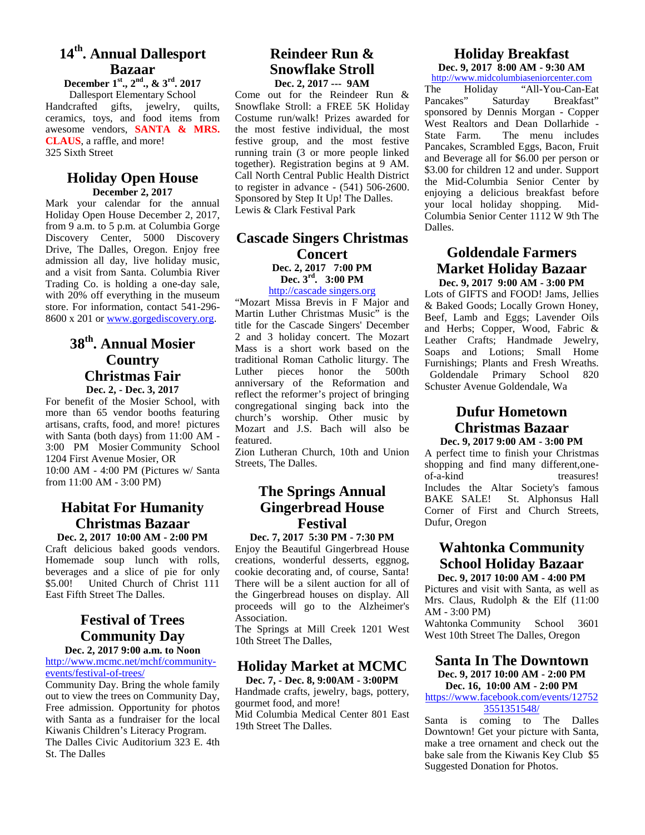# **14th. Annual Dallesport Bazaar**

**December 1st., 2nd., & 3rd. 2017** Dallesport Elementary School Handcrafted gifts, jewelry, quilts, ceramics, toys, and food items from awesome vendors, **SANTA & MRS. CLAUS**, a raffle, and more! 325 Sixth Street

#### **Holiday Open House December 2, 2017**

Mark your calendar for the annual Holiday Open House December 2, 2017, from 9 a.m. to 5 p.m. at Columbia Gorge Discovery Center, 5000 Discovery Drive, The Dalles, Oregon. Enjoy free admission all day, live holiday music, and a visit from Santa. Columbia River Trading Co. is holding a one-day sale, with 20% off everything in the museum store. For information, contact 541-296- 8600 x 201 or www.gorgediscovery.org.

# **38th. Annual Mosier Country Christmas Fair**

**Dec. 2, - Dec. 3, 2017**

For benefit of the Mosier School, with more than 65 vendor booths featuring artisans, crafts, food, and more! pictures with Santa (both days) from 11:00 AM - 3:00 PM Mosier Community School 1204 First Avenue Mosier, OR 10:00 AM - 4:00 PM (Pictures w/ Santa from 11:00 AM - 3:00 PM)

# **Habitat For Humanity Christmas Bazaar**

**Dec. 2, 2017 10:00 AM - 2:00 PM** Craft delicious baked goods vendors. Homemade soup lunch with rolls, beverages and a slice of pie for only \$5.00! United Church of Christ 111 East Fifth Street The Dalles.

# **Festival of Trees Community Day**

**Dec. 2, 2017 9:00 a.m. to Noon** http://www.mcmc.net/mchf/community events/festival-of-trees/

Community Day. Bring the whole family out to view the trees on Community Day, Free admission. Opportunity for photos with Santa as a fundraiser for the local Kiwanis Children's Literacy Program. The Dalles Civic Auditorium 323 E. 4th St. The Dalles

# **Reindeer Run & Snowflake Stroll**

**Dec. 2, 2017 --- 9AM** The Come out for the Reindeer Run  $\&$  The Holiday Snowflake Stroll: a FREE 5K Holiday Costume run/walk! Prizes awarded for the most festive individual, the most west Reador festive group, and the most festive running train (3 or more people linked together). Registration begins at 9 AM. Call North Central Public Health District to register in advance - (541) 506-2600. Sponsored by Step It Up! The Dalles. Lewis & Clark Festival Park

#### **Cascade Singers Christmas Concert Dec. 2, 2017 7:00 PM Dec. 3rd. 3:00 PM**

http://cascade singers.org

"Mozart Missa Brevis in F Major and Martin Luther Christmas Music" is the title for the Cascade Singers' December 2 and 3 holiday concert. The Mozart Mass is a short work based on the traditional Roman Catholic liturgy. The Luther pieces honor the anniversary of the Reformation and reflect the reformer's project of bringing congregational singing back into the church's worship. Other music by Mozart and J.S. Bach will also be featured.

Zion Lutheran Church, 10th and Union Streets, The Dalles.

### **The Springs Annual Gingerbread House Festival**

**Dec. 7, 2017 5:30 PM - 7:30 PM** Enjoy the Beautiful Gingerbread House creations, wonderful desserts, eggnog, cookie decorating and, of course, Santa! There will be a silent auction for all of the Gingerbread houses on display. All proceeds will go to the Alzheimer's Association.

The Springs at Mill Creek 1201 West 10th Street The Dalles,

#### **Holiday Market at MCMC**

**Dec. 7, - Dec. 8, 9:00AM - 3:00PM** Handmade crafts, jewelry, bags, pottery, gourmet food, and more! Mid Columbia Medical Center 801 East 19th Street The Dalles.

# **Holiday Breakfast**

**Dec. 9, 2017 8:00 AM - 9:30 AM** http://www.midcolumbiaseniorcenter.com

"All-You-Can-Eat Saturday Breakfast" sponsored by Dennis Morgan - Copper West Realtors and Dean Dollarhide - The menu includes Pancakes, Scrambled Eggs, Bacon, Fruit and Beverage all for \$6.00 per person or \$3.00 for children 12 and under. Support the Mid-Columbia Senior Center by enjoying a delicious breakfast before your local holiday shopping. Mid- Columbia Senior Center 1112 W 9th The Dalles.

# **Goldendale Farmers Market Holiday Bazaar**

**Dec. 9, 2017 9:00 AM - 3:00 PM** Lots of GIFTS and FOOD! Jams, Jellies & Baked Goods; Locally Grown Honey, Beef, Lamb and Eggs; Lavender Oils and Herbs; Copper, Wood, Fabric & Leather Crafts; Handmade Jewelry, Soaps and Lotions; Small Home Furnishings; Plants and Fresh Wreaths. Goldendale Primary School 820 Schuster Avenue Goldendale, Wa

#### **Dufur Hometown Christmas Bazaar Dec. 9, 2017 9:00 AM - 3:00 PM**

A perfect time to finish your Christmas shopping and find many different,one of-a-kind treasures! Includes the Altar Society's famous BAKE SALE! St. Alphonsus Hall Corner of First and Church Streets, Dufur, Oregon

# **Wahtonka Community School Holiday Bazaar**

**Dec. 9, 2017 10:00 AM - 4:00 PM**

Pictures and visit with Santa, as well as Mrs. Claus, Rudolph & the Elf (11:00 AM - 3:00 PM)

Wahtonka Community School 3601 West 10th Street The Dalles, Oregon

#### **Santa In The Downtown Dec. 9, 2017 10:00 AM - 2:00 PM**

**Dec. 16, 10:00 AM - 2:00 PM**

#### https://www.facebook.com/events/12752 3551351548/

Santa is coming to The Dalles Downtown! Get your picture with Santa, make a tree ornament and check out the bake sale from the Kiwanis Key Club \$5 Suggested Donation for Photos.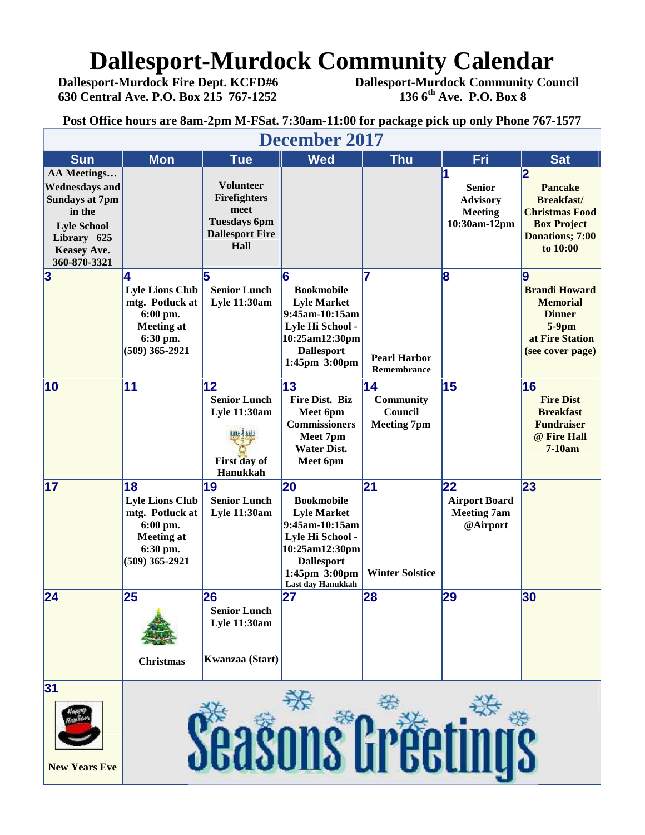# **Dallesport-Murdock Community Calendar**<br>Dallesport-Murdock Fire Dept. KCFD#6 Dallesport-Murdock Community Cou

**630 Central Ave. P.O. Box 215 767-1252 136 6th Ave. P.O. Box 8**

**Dallesport-Murdock Fire Dept. KCFD#6 Dallesport-Murdock Community Council**

**Post Office hours are 8am-2pm M-FSat. 7:30am-11:00 for package pick up only Phone 767-1577**

| <b>December 2017</b>                                                                                                                               |                                                                                                                  |                                                                                                   |                                                                                                                                                                  |                                                  |                                                                    |                                                                                                                        |
|----------------------------------------------------------------------------------------------------------------------------------------------------|------------------------------------------------------------------------------------------------------------------|---------------------------------------------------------------------------------------------------|------------------------------------------------------------------------------------------------------------------------------------------------------------------|--------------------------------------------------|--------------------------------------------------------------------|------------------------------------------------------------------------------------------------------------------------|
| <b>Sun</b>                                                                                                                                         | <b>Mon</b>                                                                                                       | <b>Tue</b>                                                                                        | <b>Wed</b>                                                                                                                                                       | <b>Thu</b>                                       | Fri                                                                | <b>Sat</b>                                                                                                             |
| AA Meetings<br><b>Wednesdays and</b><br><b>Sundays at 7pm</b><br>in the<br><b>Lyle School</b><br>Library 625<br><b>Keasey Ave.</b><br>360-870-3321 |                                                                                                                  | <b>Volunteer</b><br>Firefighters<br>meet<br><b>Tuesdays 6pm</b><br><b>Dallesport Fire</b><br>Hall |                                                                                                                                                                  |                                                  | <b>Senior</b><br><b>Advisory</b><br><b>Meeting</b><br>10:30am-12pm | 2<br><b>Pancake</b><br><b>Breakfast/</b><br><b>Christmas Food</b><br><b>Box Project</b><br>Donations; 7:00<br>to 10:00 |
| $\overline{\mathbf{3}}$                                                                                                                            | 4<br><b>Lyle Lions Club</b><br>mtg. Potluck at<br>6:00 pm.<br><b>Meeting at</b><br>6:30 pm.<br>$(509)$ 365-2921  | 15<br><b>Senior Lunch</b><br><b>Lyle 11:30am</b>                                                  | 6<br><b>Bookmobile</b><br><b>Lyle Market</b><br>9:45am-10:15am<br>Lyle Hi School -<br>10:25am12:30pm<br><b>Dallesport</b><br>1:45pm 3:00pm                       | 7<br><b>Pearl Harbor</b><br>Remembrance          | 8                                                                  | 9<br><b>Brandi Howard</b><br><b>Memorial</b><br><b>Dinner</b><br>$5-9$ pm<br>at Fire Station<br>(see cover page)       |
| 10                                                                                                                                                 | 11                                                                                                               | 12<br><b>Senior Lunch</b><br>Lyle 11:30am<br>First day of<br>Hanukkah                             | 13<br>Fire Dist. Biz<br>Meet 6pm<br><b>Commissioners</b><br>Meet 7pm<br><b>Water Dist.</b><br>Meet 6pm                                                           | 14<br>Community<br>Council<br><b>Meeting 7pm</b> | 15                                                                 | 16<br><b>Fire Dist</b><br><b>Breakfast</b><br><b>Fundraiser</b><br>@ Fire Hall<br>$7-10am$                             |
| 17                                                                                                                                                 | 18<br><b>Lyle Lions Club</b><br>mtg. Potluck at<br>6:00 pm.<br><b>Meeting at</b><br>6:30 pm.<br>$(509)$ 365-2921 | 19<br><b>Senior Lunch</b><br><b>Lyle 11:30am</b>                                                  | 20<br><b>Bookmobile</b><br><b>Lyle Market</b><br>9:45am-10:15am<br>Lyle Hi School -<br>10:25am12:30pm<br><b>Dallesport</b><br>1:45pm 3:00pm<br>Last day Hanukkah | 21<br><b>Winter Solstice</b>                     | 22<br><b>Airport Board</b><br><b>Meeting 7am</b><br>@Airport       | 23                                                                                                                     |
| 24                                                                                                                                                 | 25<br><b>Christmas</b>                                                                                           | 26<br><b>Senior Lunch</b><br><b>Lyle 11:30am</b><br>Kwanzaa (Start)                               | 27                                                                                                                                                               | 28                                               | 29                                                                 | 30                                                                                                                     |
| 31<br><b>New Years Eve</b>                                                                                                                         |                                                                                                                  |                                                                                                   | <b>DUOUHO</b>                                                                                                                                                    |                                                  |                                                                    |                                                                                                                        |